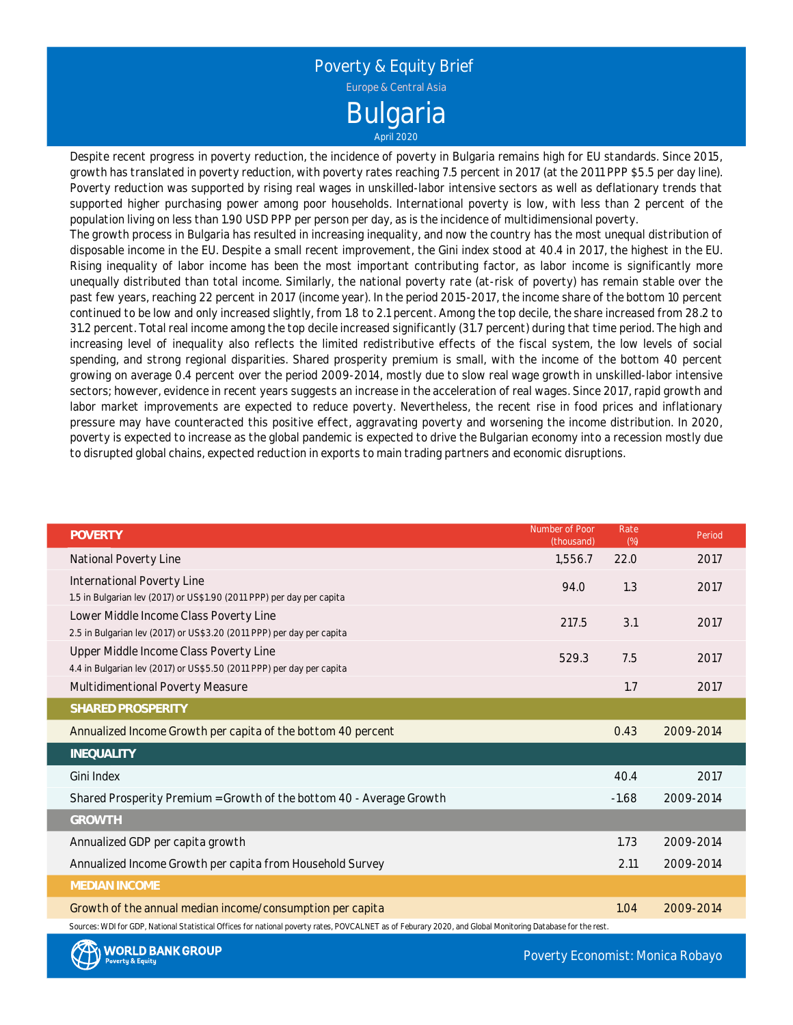

Despite recent progress in poverty reduction, the incidence of poverty in Bulgaria remains high for EU standards. Since 2015, growth has translated in poverty reduction, with poverty rates reaching 7.5 percent in 2017 (at the 2011 PPP \$5.5 per day line). Poverty reduction was supported by rising real wages in unskilled-labor intensive sectors as well as deflationary trends that supported higher purchasing power among poor households. International poverty is low, with less than 2 percent of the population living on less than 1.90 USD PPP per person per day, as is the incidence of multidimensional poverty.

The growth process in Bulgaria has resulted in increasing inequality, and now the country has the most unequal distribution of disposable income in the EU. Despite <sup>a</sup> small recent improvement, the Gini index stood at 40.4 in 2017, the highest in the EU. Rising inequality of labor income has been the most important contributing factor, as labor income is significantly more unequally distributed than total income. Similarly, the national poverty rate (at-risk of poverty) has remain stable over the past few years, reaching 22 percent in 2017 (income year). In the period 2015-2017, the income share of the bottom 10 percent continued to be low and only increased slightly, from 1.8 to 2.1 percent. Among the top decile, the share increased from 28.2 to 31.2 percent. Total real income among the top decile increased significantly (31.7 percent) during that time period. The high and increasing level of inequality also reflects the limited redistributive effects of the fiscal system, the low levels of social spending, and strong regional disparities. Shared prosperity premium is small, with the income of the bottom 40 percent growing on average 0.4 percent over the period 2009-2014, mostly due to slow real wage growth in unskilled-labor intensive sectors; however, evidence in recent years suggests an increase in the acceleration of real wages. Since 2017, rapid growth and labor market improvements are expected to reduce poverty. Nevertheless, the recent rise in food prices and inflationary pressure may have counteracted this positive effect, aggravating poverty and worsening the income distribution. In 2020, poverty is expected to increase as the global pandemic is expected to drive the Bulgarian economy into <sup>a</sup> recession mostly due to disrupted global chains, expected reduction in exports to main trading partners and economic disruptions.

| <b>POVERTY</b>                                                                                                                                             | Number of Poor<br>(thousand) | Rate<br>(%) | Period    |  |  |  |  |
|------------------------------------------------------------------------------------------------------------------------------------------------------------|------------------------------|-------------|-----------|--|--|--|--|
| National Poverty Line                                                                                                                                      | 1,556.7                      | 22.0        | 2017      |  |  |  |  |
| International Poverty Line                                                                                                                                 | 94.0                         | 1.3         | 2017      |  |  |  |  |
| 1.5 in Bulgarian lev (2017) or US\$1.90 (2011 PPP) per day per capita                                                                                      |                              |             |           |  |  |  |  |
| Lower Middle Income Class Poverty Line                                                                                                                     | 217.5                        | 3.1         | 2017      |  |  |  |  |
| 2.5 in Bulgarian lev (2017) or US\$3.20 (2011 PPP) per day per capita                                                                                      |                              |             |           |  |  |  |  |
| Upper Middle Income Class Poverty Line                                                                                                                     | 529.3                        | 7.5         | 2017      |  |  |  |  |
| 4.4 in Bulgarian lev (2017) or US\$5.50 (2011 PPP) per day per capita                                                                                      |                              |             |           |  |  |  |  |
| Multidimentional Poverty Measure                                                                                                                           |                              | 1.7         | 2017      |  |  |  |  |
| SHARED PROSPERITY                                                                                                                                          |                              |             |           |  |  |  |  |
| Annualized Income Growth per capita of the bottom 40 percent                                                                                               |                              | 0.43        | 2009-2014 |  |  |  |  |
| <b>INEQUALITY</b>                                                                                                                                          |                              |             |           |  |  |  |  |
| Gini Index                                                                                                                                                 |                              | 40.4        | 2017      |  |  |  |  |
| Shared Prosperity Premium = Growth of the bottom 40 - Average Growth                                                                                       |                              | $-1.68$     | 2009-2014 |  |  |  |  |
| <b>GROWTH</b>                                                                                                                                              |                              |             |           |  |  |  |  |
| Annualized GDP per capita growth                                                                                                                           |                              | 1.73        | 2009-2014 |  |  |  |  |
| Annualized Income Growth per capita from Household Survey                                                                                                  |                              | 2.11        | 2009-2014 |  |  |  |  |
| <b>MEDIAN INCOME</b>                                                                                                                                       |                              |             |           |  |  |  |  |
| Growth of the annual median income/consumption per capita                                                                                                  |                              | 1.04        | 2009-2014 |  |  |  |  |
| Sources: WDI for GDP, National Statistical Offices for national poverty rates, POVCALNET as of Feburary 2020, and Global Monitoring Database for the rest. |                              |             |           |  |  |  |  |